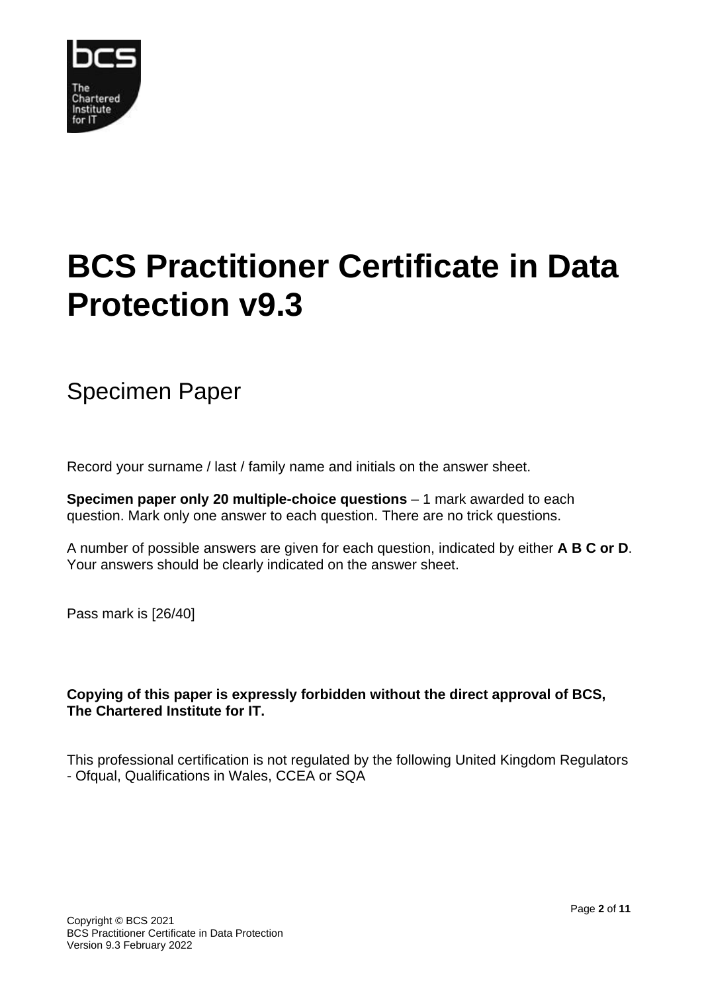

## **BCS Practitioner Certificate in Data Protection v9.3**

Specimen Paper

Record your surname / last / family name and initials on the answer sheet.

**Specimen paper only 20 multiple-choice questions** – 1 mark awarded to each question. Mark only one answer to each question. There are no trick questions.

A number of possible answers are given for each question, indicated by either **A B C or D**. Your answers should be clearly indicated on the answer sheet.

Pass mark is [26/40]

**Copying of this paper is expressly forbidden without the direct approval of BCS, The Chartered Institute for IT.**

This professional certification is not regulated by the following United Kingdom Regulators - Ofqual, Qualifications in Wales, CCEA or SQA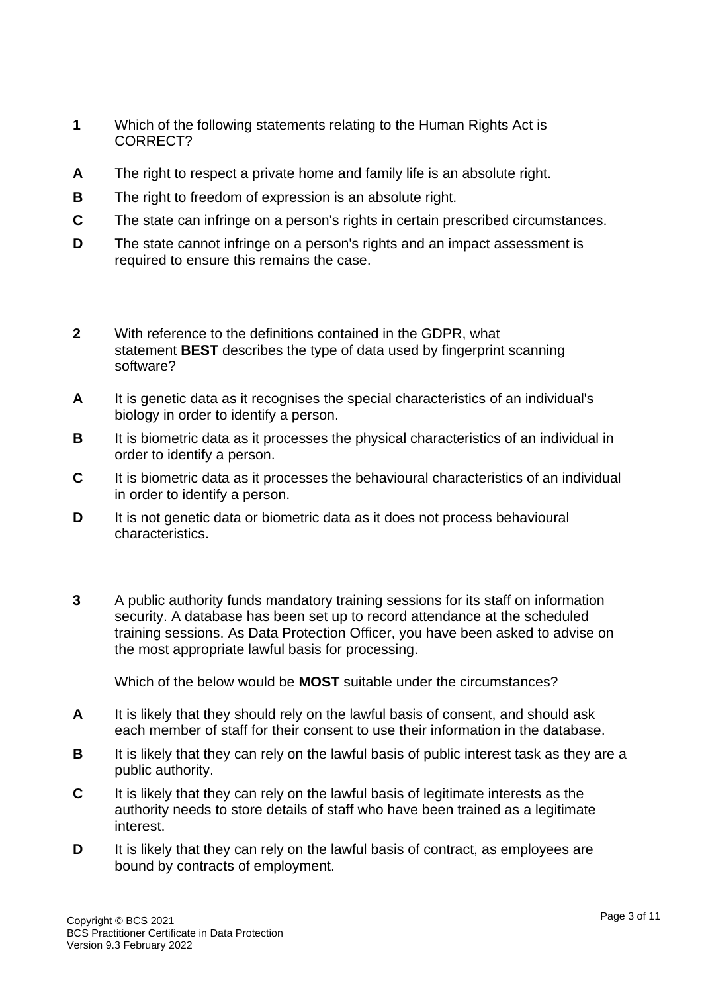- **1** Which of the following statements relating to the Human Rights Act is CORRECT?
- **A** The right to respect a private home and family life is an absolute right.
- **B** The right to freedom of expression is an absolute right.
- **C** The state can infringe on a person's rights in certain prescribed circumstances.
- **D** The state cannot infringe on a person's rights and an impact assessment is required to ensure this remains the case.
- **2** With reference to the definitions contained in the GDPR, what statement **BEST** describes the type of data used by fingerprint scanning software?
- **A** It is genetic data as it recognises the special characteristics of an individual's biology in order to identify a person.
- **B** It is biometric data as it processes the physical characteristics of an individual in order to identify a person.
- **C** It is biometric data as it processes the behavioural characteristics of an individual in order to identify a person.
- **D** It is not genetic data or biometric data as it does not process behavioural characteristics.
- **3** A public authority funds mandatory training sessions for its staff on information security. A database has been set up to record attendance at the scheduled training sessions. As Data Protection Officer, you have been asked to advise on the most appropriate lawful basis for processing.

Which of the below would be **MOST** suitable under the circumstances?

- **A** It is likely that they should rely on the lawful basis of consent, and should ask each member of staff for their consent to use their information in the database.
- **B** It is likely that they can rely on the lawful basis of public interest task as they are a public authority.
- **C** It is likely that they can rely on the lawful basis of legitimate interests as the authority needs to store details of staff who have been trained as a legitimate interest.
- **D** It is likely that they can rely on the lawful basis of contract, as employees are bound by contracts of employment.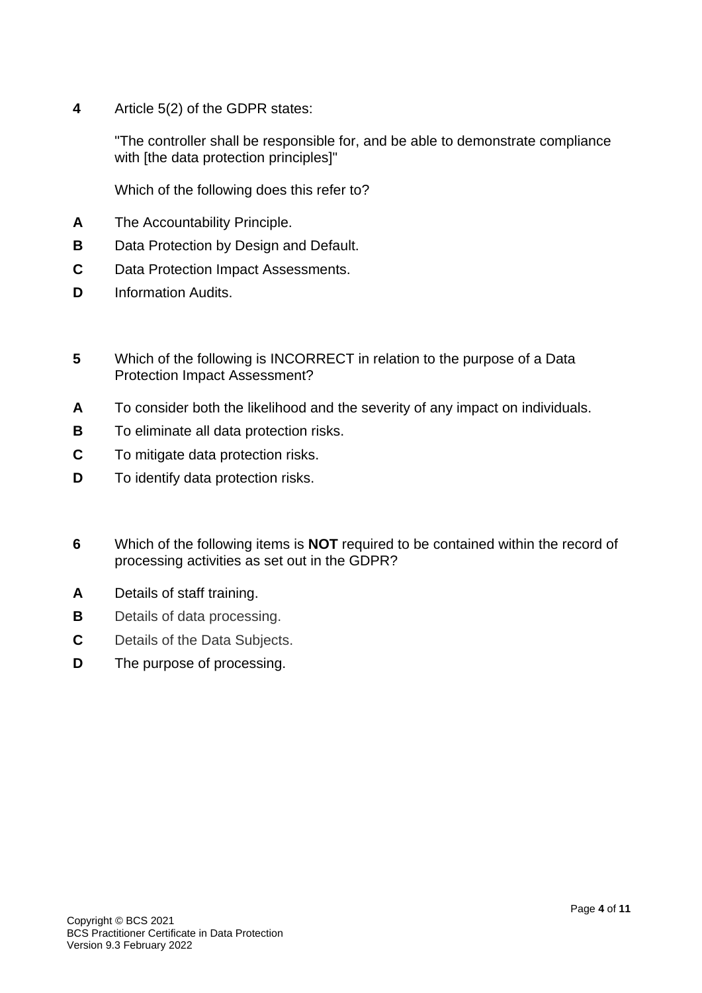**4** Article 5(2) of the GDPR states:

"The controller shall be responsible for, and be able to demonstrate compliance with [the data protection principles]"

Which of the following does this refer to?

- **A** The Accountability Principle.
- **B** Data Protection by Design and Default.
- **C** Data Protection Impact Assessments.
- **D** Information Audits.
- **5** Which of the following is INCORRECT in relation to the purpose of a Data Protection Impact Assessment?
- **A** To consider both the likelihood and the severity of any impact on individuals.
- **B** To eliminate all data protection risks.
- **C** To mitigate data protection risks.
- **D** To identify data protection risks.
- **6** Which of the following items is **NOT** required to be contained within the record of processing activities as set out in the GDPR?
- **A** Details of staff training.
- **B** Details of data processing.
- **C** Details of the Data Subjects.
- **D** The purpose of processing.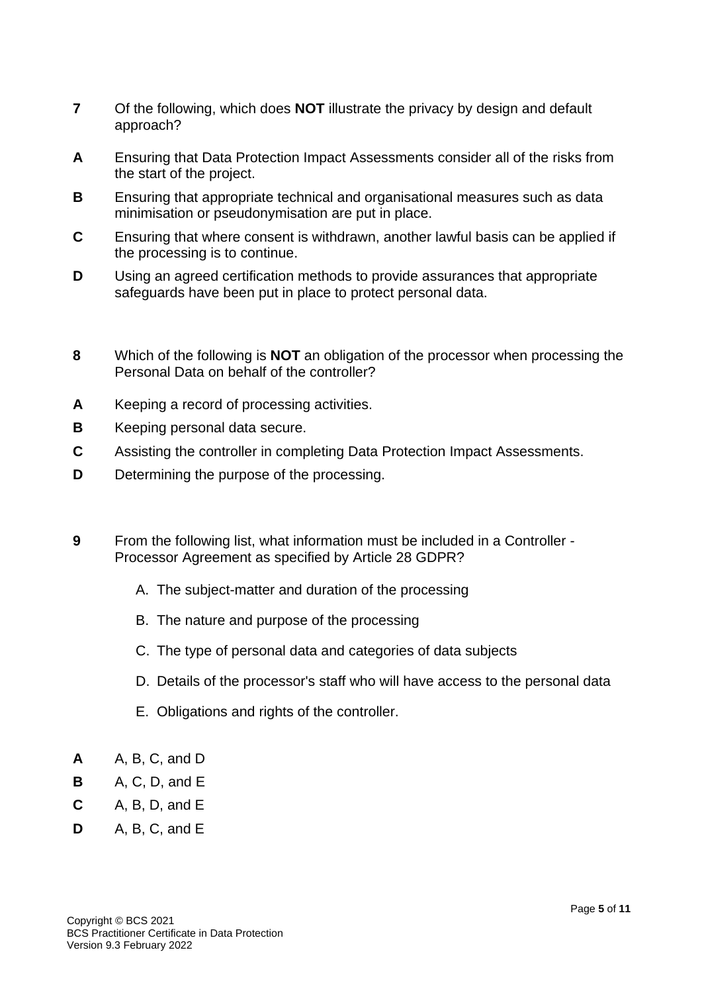- **7** Of the following, which does **NOT** illustrate the privacy by design and default approach?
- **A** Ensuring that Data Protection Impact Assessments consider all of the risks from the start of the project.
- **B** Ensuring that appropriate technical and organisational measures such as data minimisation or pseudonymisation are put in place.
- **C** Ensuring that where consent is withdrawn, another lawful basis can be applied if the processing is to continue.
- **D** Using an agreed certification methods to provide assurances that appropriate safeguards have been put in place to protect personal data.
- **8** Which of the following is **NOT** an obligation of the processor when processing the Personal Data on behalf of the controller?
- **A** Keeping a record of processing activities.
- **B** Keeping personal data secure.
- **C** Assisting the controller in completing Data Protection Impact Assessments.
- **D** Determining the purpose of the processing.
- **9** From the following list, what information must be included in a Controller Processor Agreement as specified by Article 28 GDPR?
	- A. The subject-matter and duration of the processing
	- B. The nature and purpose of the processing
	- C. The type of personal data and categories of data subjects
	- D. Details of the processor's staff who will have access to the personal data
	- E. Obligations and rights of the controller.
- **A** A, B, C, and D
- **B** A, C, D, and E
- **C** A, B, D, and E
- **D** A, B, C, and E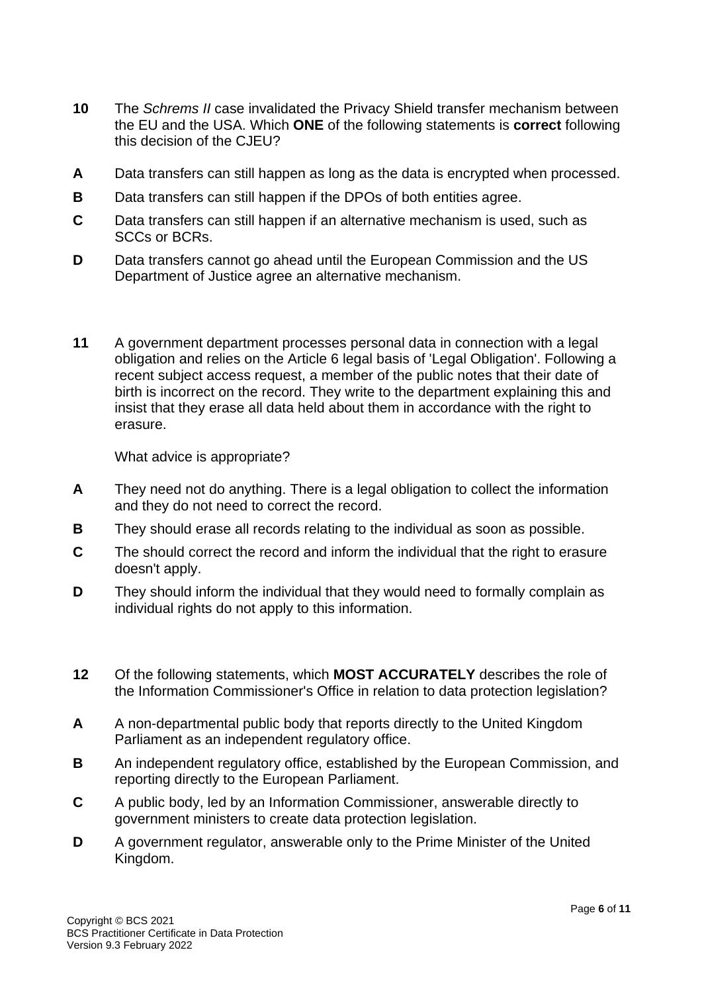- **10** The *Schrems II* case invalidated the Privacy Shield transfer mechanism between the EU and the USA. Which **ONE** of the following statements is **correct** following this decision of the CJEU?
- **A** Data transfers can still happen as long as the data is encrypted when processed.
- **B** Data transfers can still happen if the DPOs of both entities agree.
- **C** Data transfers can still happen if an alternative mechanism is used, such as SCCs or BCRs.
- **D** Data transfers cannot go ahead until the European Commission and the US Department of Justice agree an alternative mechanism.
- **11** A government department processes personal data in connection with a legal obligation and relies on the Article 6 legal basis of 'Legal Obligation'. Following a recent subject access request, a member of the public notes that their date of birth is incorrect on the record. They write to the department explaining this and insist that they erase all data held about them in accordance with the right to erasure.

What advice is appropriate?

- **A** They need not do anything. There is a legal obligation to collect the information and they do not need to correct the record.
- **B** They should erase all records relating to the individual as soon as possible.
- **C** The should correct the record and inform the individual that the right to erasure doesn't apply.
- **D** They should inform the individual that they would need to formally complain as individual rights do not apply to this information.
- **12** Of the following statements, which **MOST ACCURATELY** describes the role of the Information Commissioner's Office in relation to data protection legislation?
- **A** A non-departmental public body that reports directly to the United Kingdom Parliament as an independent regulatory office.
- **B** An independent regulatory office, established by the European Commission, and reporting directly to the European Parliament.
- **C** A public body, led by an Information Commissioner, answerable directly to government ministers to create data protection legislation.
- **D** A government regulator, answerable only to the Prime Minister of the United Kingdom.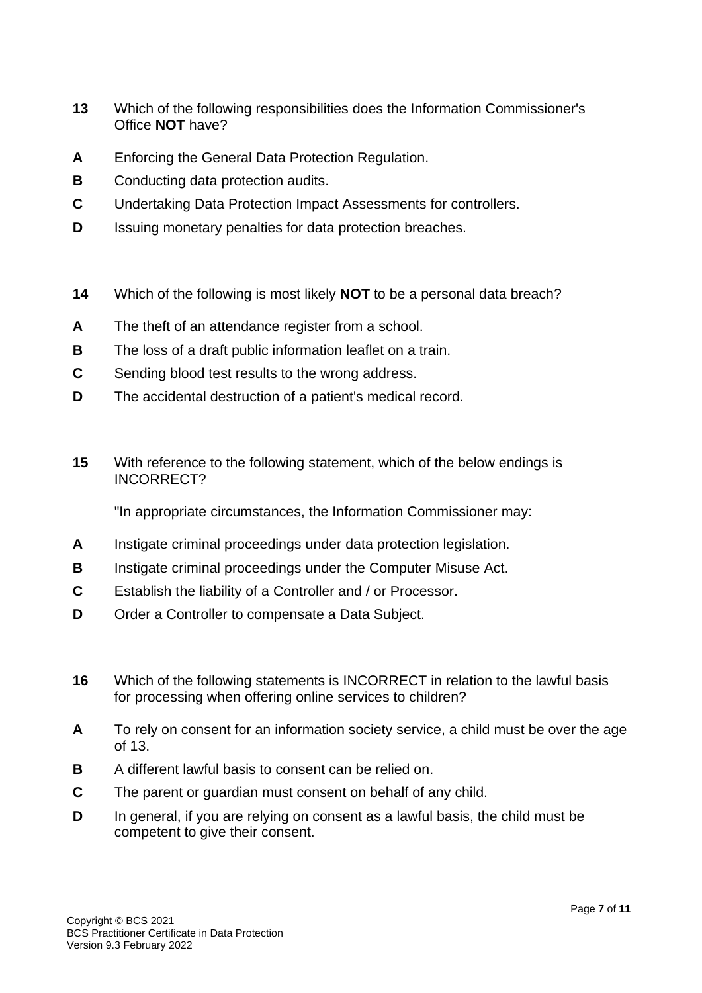- **13** Which of the following responsibilities does the Information Commissioner's Office **NOT** have?
- **A** Enforcing the General Data Protection Regulation.
- **B** Conducting data protection audits.
- **C** Undertaking Data Protection Impact Assessments for controllers.
- **D** Issuing monetary penalties for data protection breaches.
- **14** Which of the following is most likely **NOT** to be a personal data breach?
- **A** The theft of an attendance register from a school.
- **B** The loss of a draft public information leaflet on a train.
- **C** Sending blood test results to the wrong address.
- **D** The accidental destruction of a patient's medical record.
- **15** With reference to the following statement, which of the below endings is INCORRECT?

"In appropriate circumstances, the Information Commissioner may:

- **A** Instigate criminal proceedings under data protection legislation.
- **B** Instigate criminal proceedings under the Computer Misuse Act.
- **C** Establish the liability of a Controller and / or Processor.
- **D** Order a Controller to compensate a Data Subject.
- **16** Which of the following statements is INCORRECT in relation to the lawful basis for processing when offering online services to children?
- **A** To rely on consent for an information society service, a child must be over the age of 13.
- **B** A different lawful basis to consent can be relied on.
- **C** The parent or guardian must consent on behalf of any child.
- **D** In general, if you are relying on consent as a lawful basis, the child must be competent to give their consent.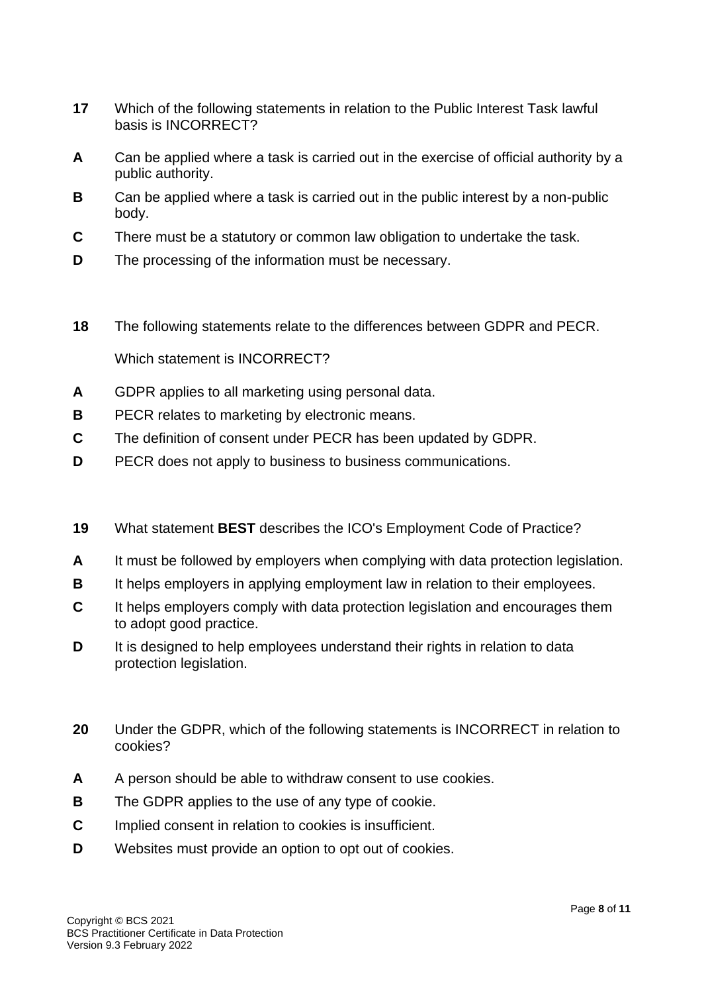- **17** Which of the following statements in relation to the Public Interest Task lawful basis is INCORRECT?
- **A** Can be applied where a task is carried out in the exercise of official authority by a public authority.
- **B** Can be applied where a task is carried out in the public interest by a non-public body.
- **C** There must be a statutory or common law obligation to undertake the task.
- **D** The processing of the information must be necessary.
- **18** The following statements relate to the differences between GDPR and PECR.

Which statement is INCORRECT?

- **A** GDPR applies to all marketing using personal data.
- **B** PECR relates to marketing by electronic means.
- **C** The definition of consent under PECR has been updated by GDPR.
- **D** PECR does not apply to business to business communications.
- **19** What statement **BEST** describes the ICO's Employment Code of Practice?
- **A** It must be followed by employers when complying with data protection legislation.
- **B** It helps employers in applying employment law in relation to their employees.
- **C** It helps employers comply with data protection legislation and encourages them to adopt good practice.
- **D** It is designed to help employees understand their rights in relation to data protection legislation.
- **20** Under the GDPR, which of the following statements is INCORRECT in relation to cookies?
- **A** A person should be able to withdraw consent to use cookies.
- **B** The GDPR applies to the use of any type of cookie.
- **C** Implied consent in relation to cookies is insufficient.
- **D** Websites must provide an option to opt out of cookies.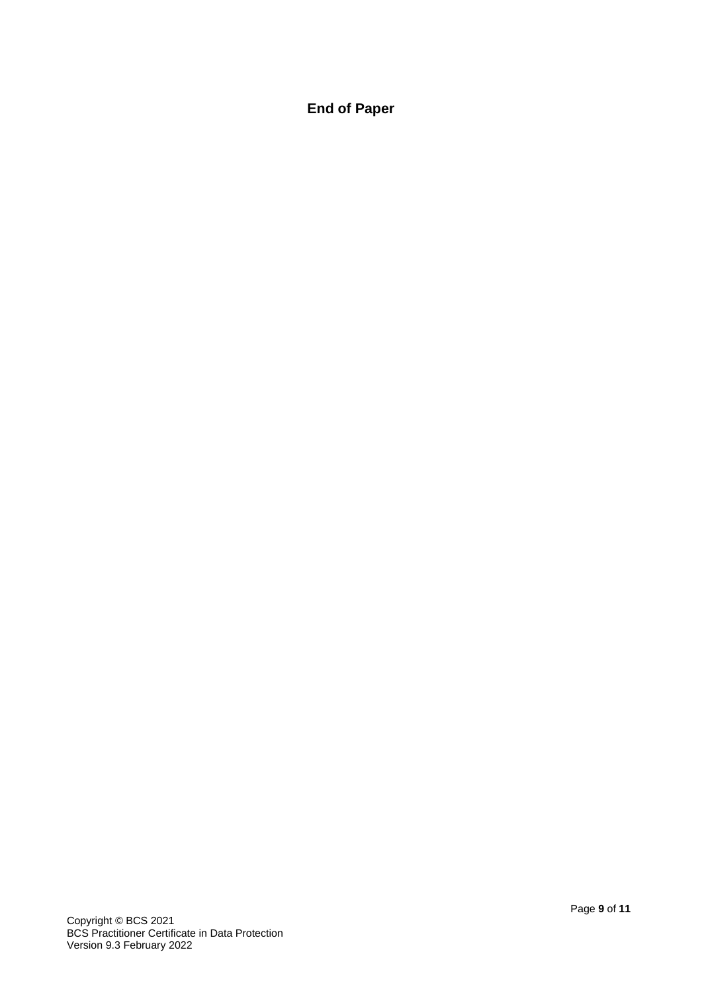**End of Paper**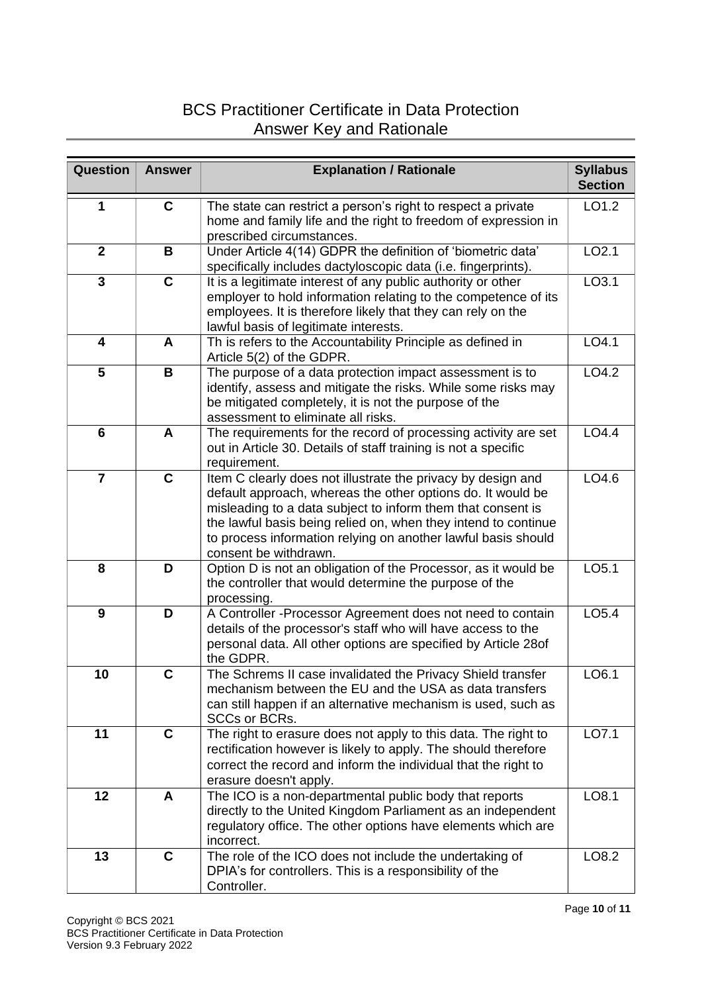## BCS Practitioner Certificate in Data Protection Answer Key and Rationale

| <b>Question</b> | <b>Answer</b> | <b>Explanation / Rationale</b>                                                                                                                                                                                                                                                                                                                         | <b>Syllabus</b><br><b>Section</b> |
|-----------------|---------------|--------------------------------------------------------------------------------------------------------------------------------------------------------------------------------------------------------------------------------------------------------------------------------------------------------------------------------------------------------|-----------------------------------|
| 1               | $\mathbf{C}$  | The state can restrict a person's right to respect a private<br>home and family life and the right to freedom of expression in<br>prescribed circumstances.                                                                                                                                                                                            | LO1.2                             |
| $\overline{2}$  | B             | Under Article 4(14) GDPR the definition of 'biometric data'<br>specifically includes dactyloscopic data (i.e. fingerprints).                                                                                                                                                                                                                           | LO <sub>2.1</sub>                 |
| $\mathbf{3}$    | $\mathbf C$   | It is a legitimate interest of any public authority or other<br>employer to hold information relating to the competence of its<br>employees. It is therefore likely that they can rely on the<br>lawful basis of legitimate interests.                                                                                                                 | LO3.1                             |
| 4               | $\mathsf{A}$  | Th is refers to the Accountability Principle as defined in<br>Article 5(2) of the GDPR.                                                                                                                                                                                                                                                                | LO4.1                             |
| 5               | B             | The purpose of a data protection impact assessment is to<br>identify, assess and mitigate the risks. While some risks may<br>be mitigated completely, it is not the purpose of the<br>assessment to eliminate all risks.                                                                                                                               | LO4.2                             |
| $6\phantom{1}$  | A             | The requirements for the record of processing activity are set<br>out in Article 30. Details of staff training is not a specific<br>requirement.                                                                                                                                                                                                       | LO4.4                             |
| $\overline{7}$  | $\mathbf C$   | Item C clearly does not illustrate the privacy by design and<br>default approach, whereas the other options do. It would be<br>misleading to a data subject to inform them that consent is<br>the lawful basis being relied on, when they intend to continue<br>to process information relying on another lawful basis should<br>consent be withdrawn. | LO4.6                             |
| 8               | D             | Option D is not an obligation of the Processor, as it would be<br>the controller that would determine the purpose of the<br>processing.                                                                                                                                                                                                                | LO5.1                             |
| 9               | D             | A Controller -Processor Agreement does not need to contain<br>details of the processor's staff who will have access to the<br>personal data. All other options are specified by Article 28of<br>the GDPR.                                                                                                                                              | LO5.4                             |
| 10              | $\mathbf c$   | The Schrems II case invalidated the Privacy Shield transfer<br>mechanism between the EU and the USA as data transfers<br>can still happen if an alternative mechanism is used, such as<br>SCCs or BCRs.                                                                                                                                                | LO6.1                             |
| 11              | C             | The right to erasure does not apply to this data. The right to<br>rectification however is likely to apply. The should therefore<br>correct the record and inform the individual that the right to<br>erasure doesn't apply.                                                                                                                           | LO7.1                             |
| 12              | A             | The ICO is a non-departmental public body that reports<br>directly to the United Kingdom Parliament as an independent<br>regulatory office. The other options have elements which are<br>incorrect.                                                                                                                                                    | LO8.1                             |
| 13              | C             | The role of the ICO does not include the undertaking of<br>DPIA's for controllers. This is a responsibility of the<br>Controller.                                                                                                                                                                                                                      | LO8.2                             |